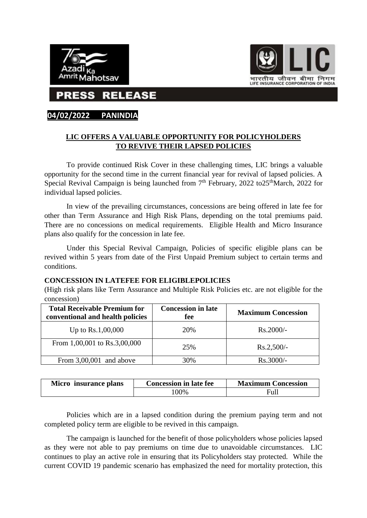



**RELEASE** 

## **04/02/2022 PANINDIA**

## **LIC OFFERS A VALUABLE OPPORTUNITY FOR POLICYHOLDERS TO REVIVE THEIR LAPSED POLICIES**

To provide continued Risk Cover in these challenging times, LIC brings a valuable opportunity for the second time in the current financial year for revival of lapsed policies. A Special Revival Campaign is being launched from  $7<sup>th</sup>$  February, 2022 to 25<sup>th</sup>March, 2022 for individual lapsed policies.

In view of the prevailing circumstances, concessions are being offered in late fee for other than Term Assurance and High Risk Plans, depending on the total premiums paid. There are no concessions on medical requirements. Eligible Health and Micro Insurance plans also qualify for the concession in late fee.

Under this Special Revival Campaign, Policies of specific eligible plans can be revived within 5 years from date of the First Unpaid Premium subject to certain terms and conditions.

## **CONCESSION IN LATEFEE FOR ELIGIBLEPOLICIES**

(High risk plans like Term Assurance and Multiple Risk Policies etc. are not eligible for the concession)

| <b>Total Receivable Premium for</b><br>conventional and health policies | <b>Concession in late</b><br>fee | <b>Maximum Concession</b> |
|-------------------------------------------------------------------------|----------------------------------|---------------------------|
| Up to $Rs.1,00,000$                                                     | 20%                              | $Rs.2000/-$               |
| From 1,00,001 to Rs.3,00,000                                            | 25%                              | $Rs.2,500/-$              |
| From $3,00,001$ and above                                               | 30%                              | $Rs.3000/-$               |

| Micro insurance plans | <b>Concession in late fee</b> | <b>Maximum Concession</b> |
|-----------------------|-------------------------------|---------------------------|
|                       | 00%                           | Full                      |

Policies which are in a lapsed condition during the premium paying term and not completed policy term are eligible to be revived in this campaign.

The campaign is launched for the benefit of those policyholders whose policies lapsed as they were not able to pay premiums on time due to unavoidable circumstances. LIC continues to play an active role in ensuring that its Policyholders stay protected. While the current COVID 19 pandemic scenario has emphasized the need for mortality protection, this